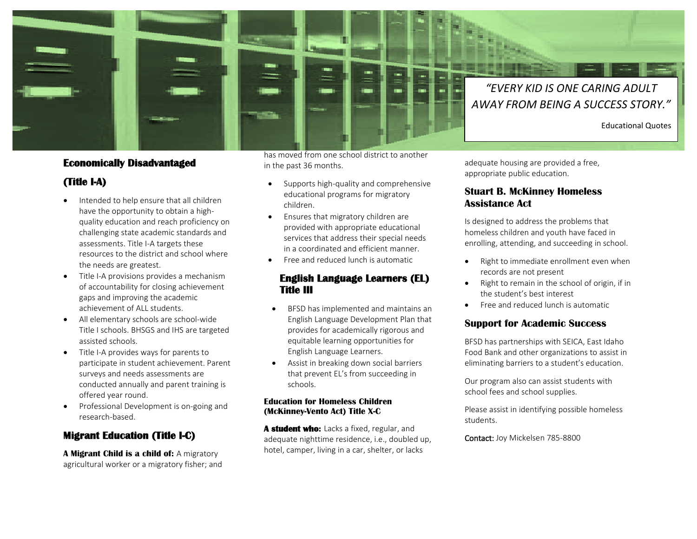

## **Economically Disadvantaged**

# **(Title I-A)**

- Intended to help ensure that all children have the opportunity to obtain a highquality education and reach proficiency on challenging state academic standards and assessments. Title I-A targets these resources to the district and school where the needs are greatest.
- Title I-A provisions provides a mechanism of accountability for closing achievement gaps and improving the academic achievement of ALL students.
- All elementary schools are school-wide Title I schools. BHSGS and IHS are targeted assisted schools.
- Title I-A provides ways for parents to participate in student achievement. Parent surveys and needs assessments are conducted annually and parent training is offered year round.
- Professional Development is on-going and research-based.

# **Migrant Education (Title I-C)**

**A Migrant Child is a child of:** A migratory agricultural worker or a migratory fisher; and has moved from one school district to another in the past 36 months.

- Supports high-quality and comprehensive educational programs for migratory children.
- Ensures that migratory children are provided with appropriate educational services that address their special needs in a coordinated and efficient manner.
- Free and reduced lunch is automatic

## **English Language Learners (EL) Title III**

- BFSD has implemented and maintains an English Language Development Plan that provides for academically rigorous and equitable learning opportunities for English Language Learners.
- Assist in breaking down social barriers that prevent EL's from succeeding in schools.

#### **Education for Homeless Children (McKinney-Vento Act) Title X-C**

**A student who:** Lacks a fixed, regular, and adequate nighttime residence, i.e., doubled up, hotel, camper, living in a car, shelter, or lacks

adequate housing are provided a free, appropriate public education.

### **Stuart B. McKinney Homeless Assistance Act**

Is designed to address the problems that homeless children and youth have faced in enrolling, attending, and succeeding in school.

- Right to immediate enrollment even when records are not present
- Right to remain in the school of origin, if in the student's best interest
- Free and reduced lunch is automatic

### **Support for Academic Success**

BFSD has partnerships with SEICA, East Idaho Food Bank and other organizations to assist in eliminating barriers to a student's education.

Our program also can assist students with school fees and school supplies.

Please assist in identifying possible homeless students.

Contact: Joy Mickelsen 785-8800